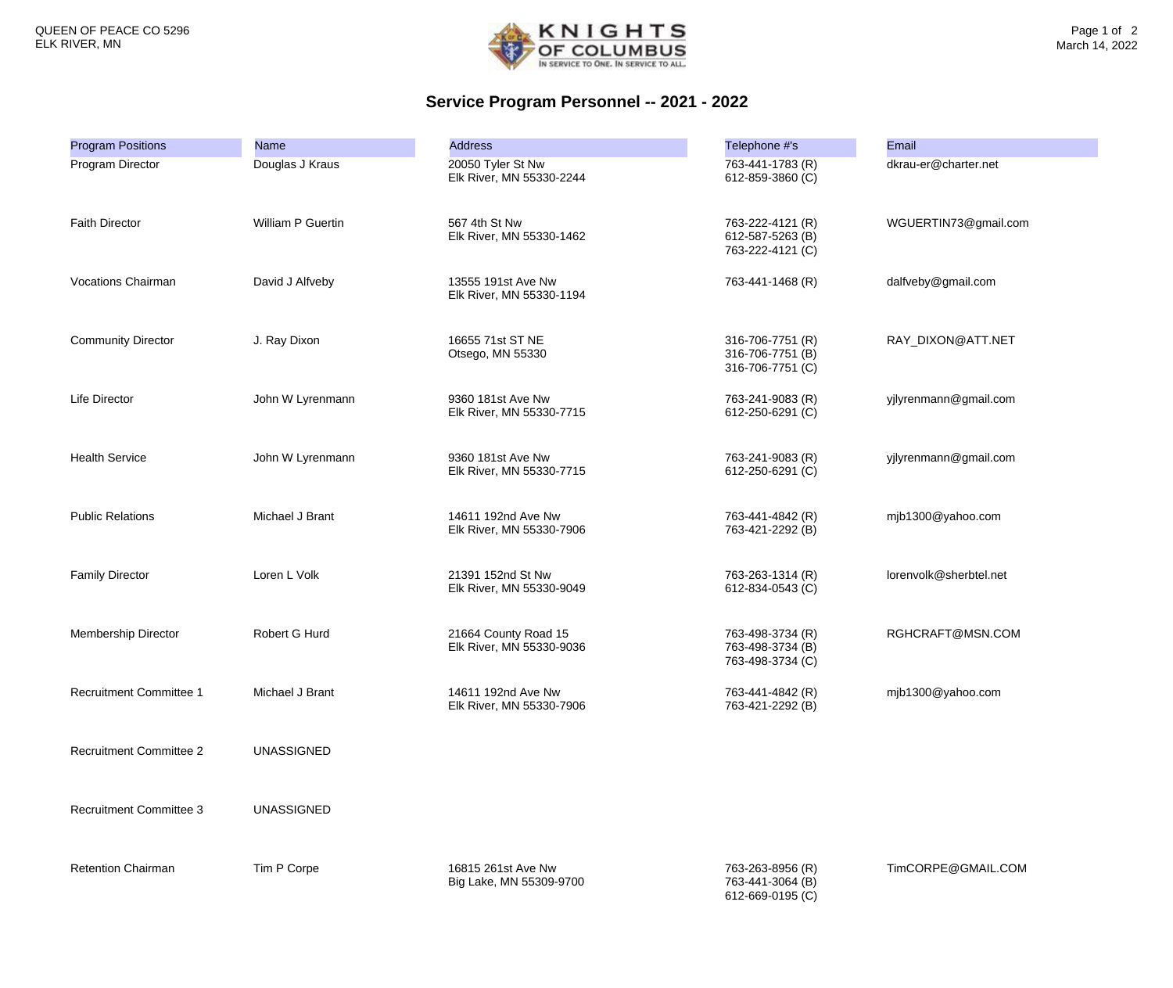

## **Service Program Personnel -- 2021 - 2022**

| <b>Program Positions</b>       | <b>Name</b>       | <b>Address</b>                                   | Telephone #'s                                            | <b>Email</b>           |
|--------------------------------|-------------------|--------------------------------------------------|----------------------------------------------------------|------------------------|
| Program Director               | Douglas J Kraus   | 20050 Tyler St Nw<br>Elk River, MN 55330-2244    | 763-441-1783 (R)<br>612-859-3860 (C)                     | dkrau-er@charter.net   |
| <b>Faith Director</b>          | William P Guertin | 567 4th St Nw<br>Elk River, MN 55330-1462        | 763-222-4121 (R)<br>612-587-5263 (B)<br>763-222-4121 (C) | WGUERTIN73@gmail.com   |
| <b>Vocations Chairman</b>      | David J Alfveby   | 13555 191st Ave Nw<br>Elk River, MN 55330-1194   | 763-441-1468 (R)                                         | dalfveby@gmail.com     |
| <b>Community Director</b>      | J. Ray Dixon      | 16655 71st ST NE<br>Otsego, MN 55330             | 316-706-7751 (R)<br>316-706-7751 (B)<br>316-706-7751 (C) | RAY_DIXON@ATT.NET      |
| Life Director                  | John W Lyrenmann  | 9360 181st Ave Nw<br>Elk River, MN 55330-7715    | 763-241-9083 (R)<br>612-250-6291 (C)                     | yjlyrenmann@gmail.com  |
| <b>Health Service</b>          | John W Lyrenmann  | 9360 181st Ave Nw<br>Elk River, MN 55330-7715    | 763-241-9083 (R)<br>612-250-6291 (C)                     | yjlyrenmann@gmail.com  |
| <b>Public Relations</b>        | Michael J Brant   | 14611 192nd Ave Nw<br>Elk River, MN 55330-7906   | 763-441-4842 (R)<br>763-421-2292 (B)                     | mjb1300@yahoo.com      |
| <b>Family Director</b>         | Loren L Volk      | 21391 152nd St Nw<br>Elk River, MN 55330-9049    | 763-263-1314 (R)<br>612-834-0543 (C)                     | lorenvolk@sherbtel.net |
| <b>Membership Director</b>     | Robert G Hurd     | 21664 County Road 15<br>Elk River, MN 55330-9036 | 763-498-3734 (R)<br>763-498-3734 (B)<br>763-498-3734 (C) | RGHCRAFT@MSN.COM       |
| <b>Recruitment Committee 1</b> | Michael J Brant   | 14611 192nd Ave Nw<br>Elk River, MN 55330-7906   | 763-441-4842 (R)<br>763-421-2292 (B)                     | mjb1300@yahoo.com      |
| <b>Recruitment Committee 2</b> | <b>UNASSIGNED</b> |                                                  |                                                          |                        |
| <b>Recruitment Committee 3</b> | <b>UNASSIGNED</b> |                                                  |                                                          |                        |
| <b>Retention Chairman</b>      | Tim P Corpe       | 16815 261st Ave Nw<br>Big Lake, MN 55309-9700    | 763-263-8956 (R)<br>763-441-3064 (B)<br>612-669-0195 (C) | TimCORPE@GMAIL.COM     |